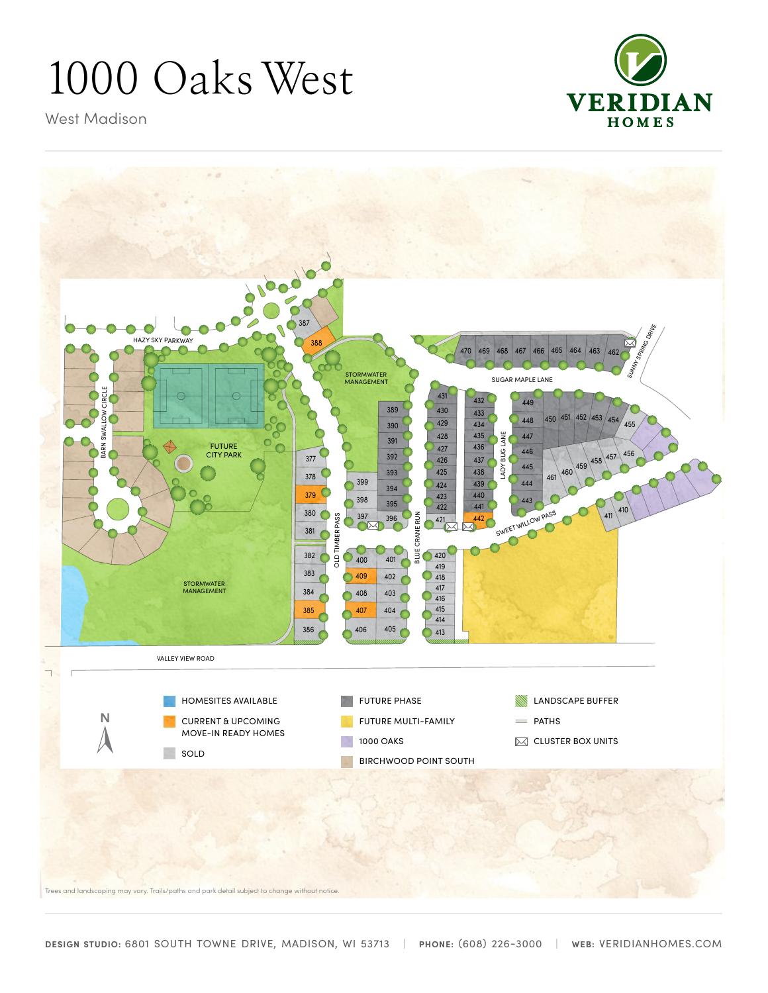## 1000 Oaks West



West Madison



Trees and landscaping may vary. Trails/paths and park detail subject to change without notice.